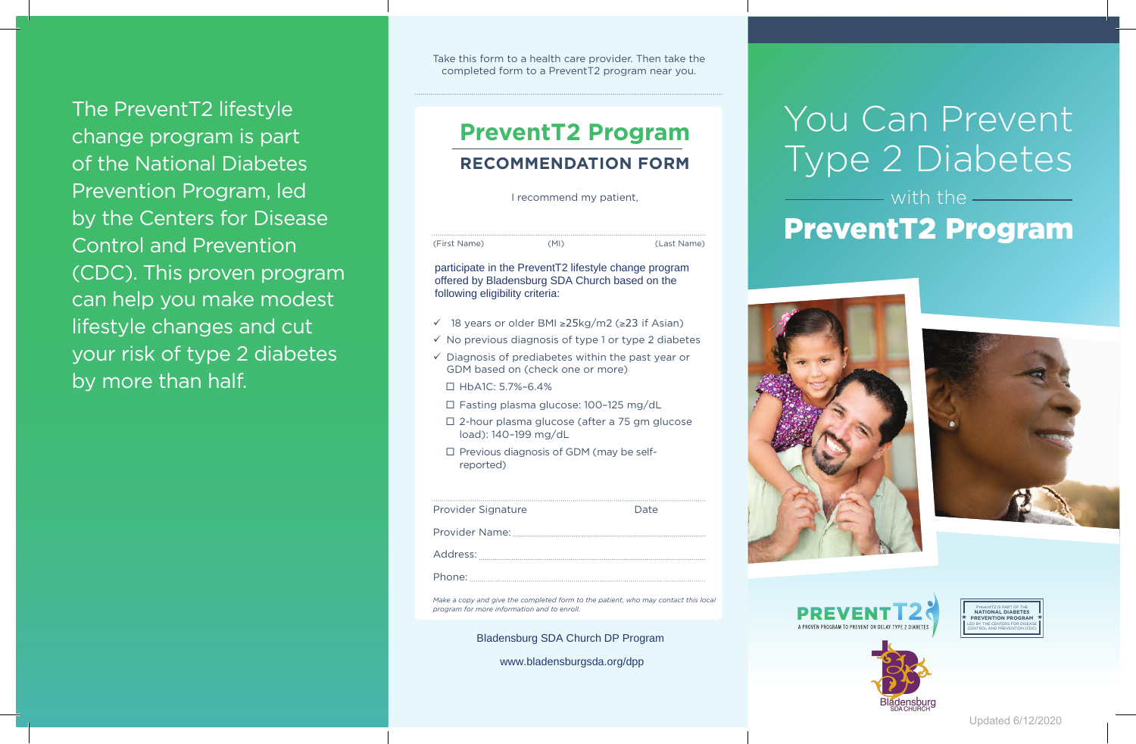The PreventT2 lifestyle change program is part of the National Diabetes Prevention Program, led by the Centers for Disease Control and Prevention (CDC). This proven program can help you make modest lifestyle changes and cut your risk of type 2 diabetes by more than half.

Take this form to a health care provider. Then take the completed form to a PreventT2 program near you.

# **PreventT2 Program RECOMMENDATION FORM**

I recommend my patient,

(First Name) (MI) (Last Name)

participate in the PreventT2 lifestyle change program offered by Bladensburg SDA Church based on the following eligibility criteria:

- ü 18 years or older BMI ≥25kg/m2 (≥23 if Asian)
- $\checkmark$  No previous diagnosis of type 1 or type 2 diabetes
- $\checkmark$  Diagnosis of prediabetes within the past year or GDM based on (check one or more)
	- $\Pi$  HbA1C: 5.7%–6.4%
- □ Fasting plasma glucose: 100-125 mg/dL
- $\square$  2-hour plasma glucose (after a 75 gm glucose load): 140–199 mg/dL
- $\square$  Previous diagnosis of GDM (may be selfreported)

| <b>Provider Signature</b> | Date |
|---------------------------|------|
|                           |      |
|                           |      |
|                           |      |

*Make a copy and give the completed form to the patient, who may contact this local program for more information and to enroll.*

Bladensburg SDA Church DP Program

www.bladensburgsda.org/dpp

# You Can Prevent Type 2 Diabetes

# with the PreventT2 Program











Updated 6/12/2020